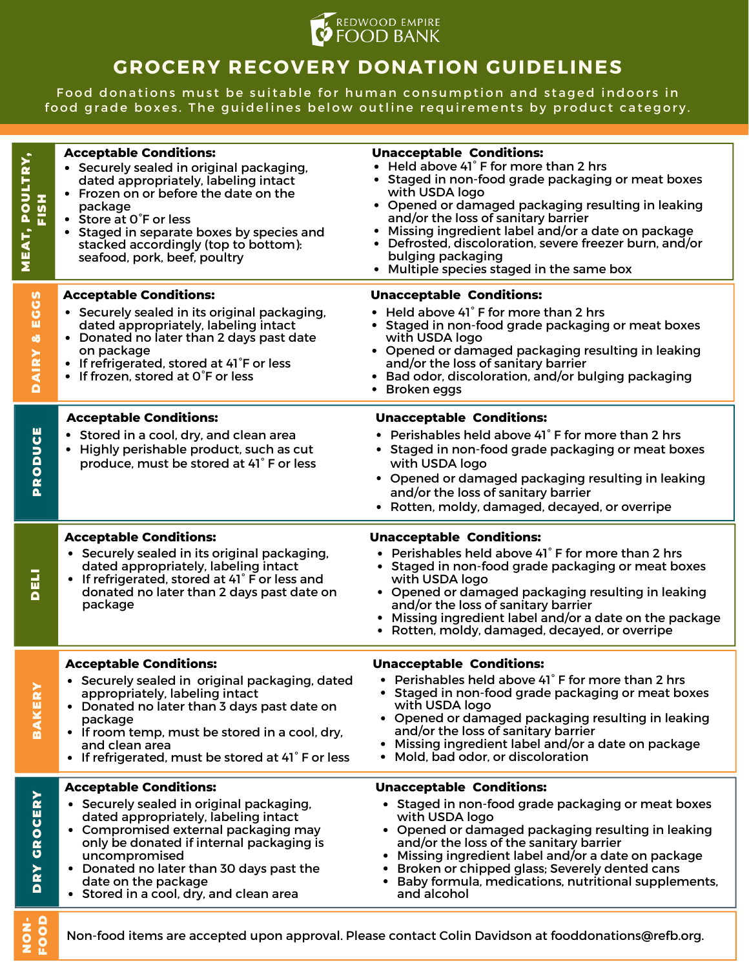

## **GROCERY RECOVERY DONATION GUIDELINES**

Food donations must be suitable for human consumption and staged indoors in food grade boxes. The guidelines below outline requirements by product category.

| MEAT, POULTRY,<br>FISH    | <b>Acceptable Conditions:</b><br>• Securely sealed in original packaging,<br>dated appropriately, labeling intact<br>• Frozen on or before the date on the<br>package<br>• Store at O°F or less<br>Staged in separate boxes by species and<br>stacked accordingly (top to bottom):<br>seafood, pork, beef, poultry                   | <b>Unacceptable Conditions:</b><br>Held above 41° F for more than 2 hrs<br>Staged in non-food grade packaging or meat boxes<br>with USDA logo<br>• Opened or damaged packaging resulting in leaking<br>and/or the loss of sanitary barrier<br>Missing ingredient label and/or a date on package<br>Defrosted, discoloration, severe freezer burn, and/or<br>bulging packaging<br>Multiple species staged in the same box<br>٠ |
|---------------------------|--------------------------------------------------------------------------------------------------------------------------------------------------------------------------------------------------------------------------------------------------------------------------------------------------------------------------------------|-------------------------------------------------------------------------------------------------------------------------------------------------------------------------------------------------------------------------------------------------------------------------------------------------------------------------------------------------------------------------------------------------------------------------------|
| ECCS<br>ø<br><b>DAIRY</b> | <b>Acceptable Conditions:</b><br>• Securely sealed in its original packaging,<br>dated appropriately, labeling intact<br>• Donated no later than 2 days past date<br>on package<br>• If refrigerated, stored at 41°F or less<br>• If frozen, stored at O°F or less                                                                   | <b>Unacceptable Conditions:</b><br>Held above 41° F for more than 2 hrs<br>• Staged in non-food grade packaging or meat boxes<br>with USDA logo<br>• Opened or damaged packaging resulting in leaking<br>and/or the loss of sanitary barrier<br>• Bad odor, discoloration, and/or bulging packaging<br>Broken eggs<br>٠                                                                                                       |
| <b>PRODUCE</b>            | <b>Acceptable Conditions:</b><br>• Stored in a cool, dry, and clean area<br>• Highly perishable product, such as cut<br>produce, must be stored at 41° F or less                                                                                                                                                                     | <b>Unacceptable Conditions:</b><br>• Perishables held above 41°F for more than 2 hrs<br>• Staged in non-food grade packaging or meat boxes<br>with USDA logo<br>• Opened or damaged packaging resulting in leaking<br>and/or the loss of sanitary barrier<br>• Rotten, moldy, damaged, decayed, or overripe                                                                                                                   |
| DELI                      | <b>Acceptable Conditions:</b><br>• Securely sealed in its original packaging,<br>dated appropriately, labeling intact<br>• If refrigerated, stored at 41° F or less and<br>donated no later than 2 days past date on<br>package                                                                                                      | <b>Unacceptable Conditions:</b><br>• Perishables held above 41° F for more than 2 hrs<br>Staged in non-food grade packaging or meat boxes<br>with USDA logo<br>• Opened or damaged packaging resulting in leaking<br>and/or the loss of sanitary barrier<br>• Missing ingredient label and/or a date on the package<br>• Rotten, moldy, damaged, decayed, or overripe                                                         |
| <b>BAKER</b>              | <b>Acceptable Conditions:</b><br>• Securely sealed in original packaging, dated<br>appropriately, labeling intact<br>• Donated no later than 3 days past date on<br>package<br>• If room temp, must be stored in a cool, dry,<br>and clean area<br>• If refrigerated, must be stored at 41°F or less                                 | <b>Unacceptable Conditions:</b><br>• Perishables held above 41° F for more than 2 hrs<br>• Staged in non-food grade packaging or meat boxes<br>with USDA logo<br>• Opened or damaged packaging resulting in leaking<br>and/or the loss of sanitary barrier<br>• Missing ingredient label and/or a date on package<br>• Mold, bad odor, or discoloration                                                                       |
| <b>GROCERY</b><br>DRY     | <b>Acceptable Conditions:</b><br>• Securely sealed in original packaging,<br>dated appropriately, labeling intact<br>• Compromised external packaging may<br>only be donated if internal packaging is<br>uncompromised<br>• Donated no later than 30 days past the<br>date on the package<br>• Stored in a cool, dry, and clean area | <b>Unacceptable Conditions:</b><br>• Staged in non-food grade packaging or meat boxes<br>with USDA logo<br>• Opened or damaged packaging resulting in leaking<br>and/or the loss of the sanitary barrier<br>Missing ingredient label and/or a date on package<br>Broken or chipped glass; Severely dented cans<br>Baby formula, medications, nutritional supplements,<br>and alcohol                                          |
| 38                        | Non-food items are accepted upon approval. Please contact Colin Davidson at fooddonations@refb.org.                                                                                                                                                                                                                                  |                                                                                                                                                                                                                                                                                                                                                                                                                               |

Zĭ 오 ŏ<br>로 요